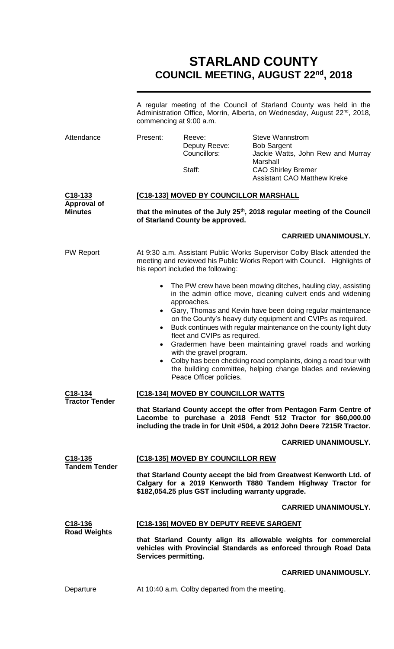# **STARLAND COUNTY COUNCIL MEETING, AUGUST 22 nd, 2018**

|                                                                                                                                                                                                                                       | A regular meeting of the Council of Starland County was held in the<br>Administration Office, Morrin, Alberta, on Wednesday, August 22 <sup>nd</sup> , 2018,<br>commencing at 9:00 a.m.                                                                                                                                          |                                                                                                                                              |                                                                                                                                |  |
|---------------------------------------------------------------------------------------------------------------------------------------------------------------------------------------------------------------------------------------|----------------------------------------------------------------------------------------------------------------------------------------------------------------------------------------------------------------------------------------------------------------------------------------------------------------------------------|----------------------------------------------------------------------------------------------------------------------------------------------|--------------------------------------------------------------------------------------------------------------------------------|--|
| Attendance                                                                                                                                                                                                                            | Present:                                                                                                                                                                                                                                                                                                                         | Reeve:<br>Deputy Reeve:<br>Councillors:<br>Staff:                                                                                            | <b>Steve Wannstrom</b><br><b>Bob Sargent</b><br>Jackie Watts, John Rew and Murray<br>Marshall<br><b>CAO Shirley Bremer</b>     |  |
|                                                                                                                                                                                                                                       |                                                                                                                                                                                                                                                                                                                                  |                                                                                                                                              | <b>Assistant CAO Matthew Kreke</b>                                                                                             |  |
| C <sub>18</sub> -133<br><b>Approval of</b>                                                                                                                                                                                            | [C18-133] MOVED BY COUNCILLOR MARSHALL                                                                                                                                                                                                                                                                                           |                                                                                                                                              |                                                                                                                                |  |
| <b>Minutes</b>                                                                                                                                                                                                                        | that the minutes of the July 25 <sup>th</sup> , 2018 regular meeting of the Council<br>of Starland County be approved.                                                                                                                                                                                                           |                                                                                                                                              |                                                                                                                                |  |
|                                                                                                                                                                                                                                       |                                                                                                                                                                                                                                                                                                                                  |                                                                                                                                              | <b>CARRIED UNANIMOUSLY.</b>                                                                                                    |  |
| <b>PW Report</b>                                                                                                                                                                                                                      | At 9:30 a.m. Assistant Public Works Supervisor Colby Black attended the<br>meeting and reviewed his Public Works Report with Council. Highlights of<br>his report included the following:                                                                                                                                        |                                                                                                                                              |                                                                                                                                |  |
|                                                                                                                                                                                                                                       | $\bullet$                                                                                                                                                                                                                                                                                                                        | The PW crew have been mowing ditches, hauling clay, assisting<br>in the admin office move, cleaning culvert ends and widening<br>approaches. |                                                                                                                                |  |
|                                                                                                                                                                                                                                       | Gary, Thomas and Kevin have been doing regular maintenance<br>$\bullet$<br>on the County's heavy duty equipment and CVIPs as required.<br>Buck continues with regular maintenance on the county light duty<br>$\bullet$<br>fleet and CVIPs as required.<br>Gradermen have been maintaining gravel roads and working<br>$\bullet$ |                                                                                                                                              |                                                                                                                                |  |
|                                                                                                                                                                                                                                       | $\bullet$                                                                                                                                                                                                                                                                                                                        | with the gravel program.<br>Peace Officer policies.                                                                                          | Colby has been checking road complaints, doing a road tour with<br>the building committee, helping change blades and reviewing |  |
| C18-134                                                                                                                                                                                                                               | [C18-134] MOVED BY COUNCILLOR WATTS                                                                                                                                                                                                                                                                                              |                                                                                                                                              |                                                                                                                                |  |
| <b>Tractor Tender</b><br>that Starland County accept the offer from Pentagon Farm Centre of<br>Lacombe to purchase a 2018 Fendt 512 Tractor for \$60,000.00<br>including the trade in for Unit #504, a 2012 John Deere 7215R Tractor. |                                                                                                                                                                                                                                                                                                                                  |                                                                                                                                              |                                                                                                                                |  |
|                                                                                                                                                                                                                                       |                                                                                                                                                                                                                                                                                                                                  |                                                                                                                                              | <b>CARRIED UNANIMOUSLY.</b>                                                                                                    |  |
| C18-135                                                                                                                                                                                                                               | [C18-135] MOVED BY COUNCILLOR REW                                                                                                                                                                                                                                                                                                |                                                                                                                                              |                                                                                                                                |  |
| <b>Tandem Tender</b>                                                                                                                                                                                                                  | that Starland County accept the bid from Greatwest Kenworth Ltd. of<br>Calgary for a 2019 Kenworth T880 Tandem Highway Tractor for<br>\$182,054.25 plus GST including warranty upgrade.                                                                                                                                          |                                                                                                                                              |                                                                                                                                |  |
|                                                                                                                                                                                                                                       |                                                                                                                                                                                                                                                                                                                                  |                                                                                                                                              | <b>CARRIED UNANIMOUSLY.</b>                                                                                                    |  |
| C18-136                                                                                                                                                                                                                               |                                                                                                                                                                                                                                                                                                                                  | [C18-136] MOVED BY DEPUTY REEVE SARGENT                                                                                                      |                                                                                                                                |  |
| <b>Road Weights</b>                                                                                                                                                                                                                   | that Starland County align its allowable weights for commercial<br>vehicles with Provincial Standards as enforced through Road Data<br>Services permitting.                                                                                                                                                                      |                                                                                                                                              |                                                                                                                                |  |
|                                                                                                                                                                                                                                       |                                                                                                                                                                                                                                                                                                                                  |                                                                                                                                              | <b>CARRIED UNANIMOUSLY.</b>                                                                                                    |  |
| Departure                                                                                                                                                                                                                             |                                                                                                                                                                                                                                                                                                                                  | At 10:40 a.m. Colby departed from the meeting.                                                                                               |                                                                                                                                |  |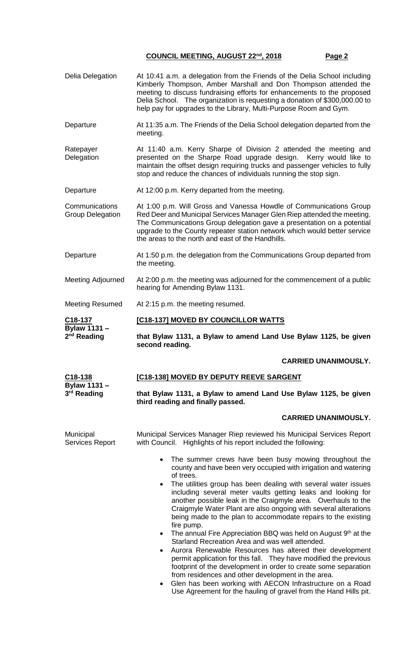- Delia Delegation At 10:41 a.m. a delegation from the Friends of the Delia School including Kimberly Thompson, Amber Marshall and Don Thompson attended the meeting to discuss fundraising efforts for enhancements to the proposed Delia School. The organization is requesting a donation of \$300,000.00 to help pay for upgrades to the Library, Multi-Purpose Room and Gym.
- Departure At 11:35 a.m. The Friends of the Delia School delegation departed from the meeting.
- **Ratepayer Delegation** At 11:40 a.m. Kerry Sharpe of Division 2 attended the meeting and presented on the Sharpe Road upgrade design. Kerry would like to maintain the offset design requiring trucks and passenger vehicles to fully stop and reduce the chances of individuals running the stop sign.
- Departure At 12:00 p.m. Kerry departed from the meeting.

**Communications** Group Delegation At 1:00 p.m. Will Gross and Vanessa Howdle of Communications Group Red Deer and Municipal Services Manager Glen Riep attended the meeting. The Communications Group delegation gave a presentation on a potential upgrade to the County repeater station network which would better service the areas to the north and east of the Handhills.

- Departure At 1:50 p.m. the delegation from the Communications Group departed from the meeting.
- Meeting Adjourned At 2:00 p.m. the meeting was adjourned for the commencement of a public hearing for Amending Bylaw 1131.

Meeting Resumed At 2:15 p.m. the meeting resumed.

Municipal

#### **C18-137 [C18-137] MOVED BY COUNCILLOR WATTS**

**third reading and finally passed.**

**Bylaw 1131 – 2 nd Reading that Bylaw 1131, a Bylaw to amend Land Use Bylaw 1125, be given second reading.**

### **CARRIED UNANIMOUSLY.**

| C18-138                 | <b>[C18-138] MOVED BY DEPUTY REEVE SARGENT</b>                  |
|-------------------------|-----------------------------------------------------------------|
| Bylaw 1131 –            |                                                                 |
| 3 <sup>rd</sup> Reading | that Bylaw 1131, a Bylaw to amend Land Use Bylaw 1125, be given |

### **CARRIED UNANIMOUSLY.**

Services Report Municipal Services Manager Riep reviewed his Municipal Services Report with Council. Highlights of his report included the following:

- The summer crews have been busy mowing throughout the county and have been very occupied with irrigation and watering of trees.
- The utilities group has been dealing with several water issues including several meter vaults getting leaks and looking for another possible leak in the Craigmyle area. Overhauls to the Craigmyle Water Plant are also ongoing with several alterations being made to the plan to accommodate repairs to the existing fire pump.
- The annual Fire Appreciation BBQ was held on August  $9<sup>th</sup>$  at the Starland Recreation Area and was well attended.
- Aurora Renewable Resources has altered their development permit application for this fall. They have modified the previous footprint of the development in order to create some separation from residences and other development in the area.
- Glen has been working with AECON Infrastructure on a Road Use Agreement for the hauling of gravel from the Hand Hills pit.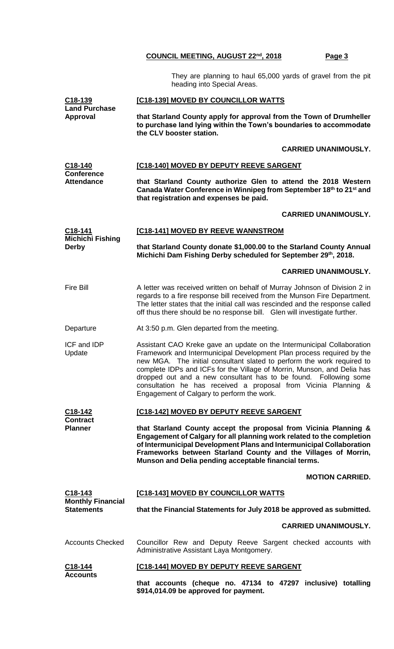They are planning to haul 65,000 yards of gravel from the pit heading into Special Areas.

| <u>C18-139</u><br>Land Purchase            | [C18-139] MOVED BY COUNCILLOR WATTS                                                                                                                                                                                                                                                                                                                                                                                                                                                       |  |  |
|--------------------------------------------|-------------------------------------------------------------------------------------------------------------------------------------------------------------------------------------------------------------------------------------------------------------------------------------------------------------------------------------------------------------------------------------------------------------------------------------------------------------------------------------------|--|--|
| <b>Approval</b>                            | that Starland County apply for approval from the Town of Drumheller<br>to purchase land lying within the Town's boundaries to accommodate<br>the CLV booster station.                                                                                                                                                                                                                                                                                                                     |  |  |
|                                            | <b>CARRIED UNANIMOUSLY.</b>                                                                                                                                                                                                                                                                                                                                                                                                                                                               |  |  |
| C18-140                                    | [C18-140] MOVED BY DEPUTY REEVE SARGENT                                                                                                                                                                                                                                                                                                                                                                                                                                                   |  |  |
| <b>Conference</b><br><b>Attendance</b>     | that Starland County authorize Glen to attend the 2018 Western<br>Canada Water Conference in Winnipeg from September 18th to 21st and<br>that registration and expenses be paid.                                                                                                                                                                                                                                                                                                          |  |  |
|                                            | <b>CARRIED UNANIMOUSLY.</b>                                                                                                                                                                                                                                                                                                                                                                                                                                                               |  |  |
| <u>C18-141</u>                             | [C18-141] MOVED BY REEVE WANNSTROM                                                                                                                                                                                                                                                                                                                                                                                                                                                        |  |  |
| <b>Michichi Fishing</b><br><b>Derby</b>    | that Starland County donate \$1,000.00 to the Starland County Annual<br>Michichi Dam Fishing Derby scheduled for September 29th, 2018.                                                                                                                                                                                                                                                                                                                                                    |  |  |
|                                            | <b>CARRIED UNANIMOUSLY.</b>                                                                                                                                                                                                                                                                                                                                                                                                                                                               |  |  |
| Fire Bill                                  | A letter was received written on behalf of Murray Johnson of Division 2 in<br>regards to a fire response bill received from the Munson Fire Department.<br>The letter states that the initial call was rescinded and the response called<br>off thus there should be no response bill. Glen will investigate further.                                                                                                                                                                     |  |  |
| Departure                                  | At 3:50 p.m. Glen departed from the meeting.                                                                                                                                                                                                                                                                                                                                                                                                                                              |  |  |
| <b>ICF and IDP</b><br>Update               | Assistant CAO Kreke gave an update on the Intermunicipal Collaboration<br>Framework and Intermunicipal Development Plan process required by the<br>new MGA. The initial consultant slated to perform the work required to<br>complete IDPs and ICFs for the Village of Morrin, Munson, and Delia has<br>dropped out and a new consultant has to be found. Following some<br>consultation he has received a proposal from Vicinia Planning &<br>Engagement of Calgary to perform the work. |  |  |
| <u>C18-142</u>                             | [C18-142] MOVED BY DEPUTY REEVE SARGENT                                                                                                                                                                                                                                                                                                                                                                                                                                                   |  |  |
| <b>Contract</b><br>Planner                 | that Starland County accept the proposal from Vicinia Planning &<br>Engagement of Calgary for all planning work related to the completion<br>of Intermunicipal Development Plans and Intermunicipal Collaboration<br>Frameworks between Starland County and the Villages of Morrin,<br>Munson and Delia pending acceptable financial terms.                                                                                                                                               |  |  |
|                                            | <b>MOTION CARRIED.</b>                                                                                                                                                                                                                                                                                                                                                                                                                                                                    |  |  |
| <u>C18-143</u><br><b>Monthly Financial</b> | [C18-143] MOVED BY COUNCILLOR WATTS                                                                                                                                                                                                                                                                                                                                                                                                                                                       |  |  |
| <b>Statements</b>                          | that the Financial Statements for July 2018 be approved as submitted.                                                                                                                                                                                                                                                                                                                                                                                                                     |  |  |
|                                            | <b>CARRIED UNANIMOUSLY.</b>                                                                                                                                                                                                                                                                                                                                                                                                                                                               |  |  |
| <b>Accounts Checked</b>                    | Councillor Rew and Deputy Reeve Sargent checked accounts with<br>Administrative Assistant Laya Montgomery.                                                                                                                                                                                                                                                                                                                                                                                |  |  |
| C <sub>18</sub> -144<br><b>Accounts</b>    | [C18-144] MOVED BY DEPUTY REEVE SARGENT                                                                                                                                                                                                                                                                                                                                                                                                                                                   |  |  |
|                                            | that accounts (cheque no. 47134 to 47297 inclusive) totalling<br>\$914,014.09 be approved for payment.                                                                                                                                                                                                                                                                                                                                                                                    |  |  |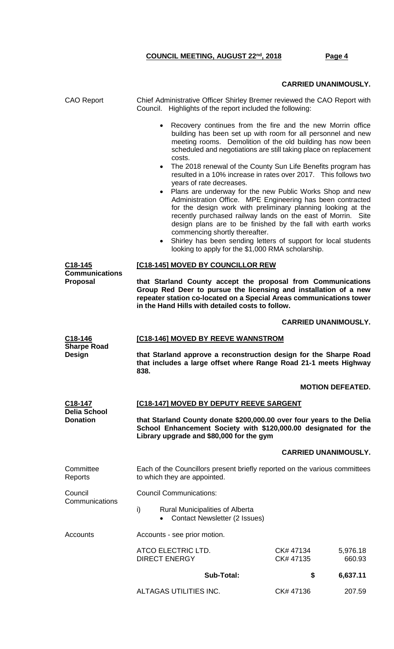# **CARRIED UNANIMOUSLY.**

| <b>CAO Report</b>                          | Chief Administrative Officer Shirley Bremer reviewed the CAO Report with<br>Council. Highlights of the report included the following:                                                                                                                       |                                                                                                                                                                                                                                                                                                                                                                                          |  |  |
|--------------------------------------------|-------------------------------------------------------------------------------------------------------------------------------------------------------------------------------------------------------------------------------------------------------------|------------------------------------------------------------------------------------------------------------------------------------------------------------------------------------------------------------------------------------------------------------------------------------------------------------------------------------------------------------------------------------------|--|--|
|                                            | Recovery continues from the fire and the new Morrin office<br>costs.                                                                                                                                                                                        | building has been set up with room for all personnel and new<br>meeting rooms. Demolition of the old building has now been<br>scheduled and negotiations are still taking place on replacement                                                                                                                                                                                           |  |  |
|                                            | The 2018 renewal of the County Sun Life Benefits program has<br>years of rate decreases.                                                                                                                                                                    | resulted in a 10% increase in rates over 2017. This follows two                                                                                                                                                                                                                                                                                                                          |  |  |
|                                            | $\bullet$<br>commencing shortly thereafter.<br>looking to apply for the \$1,000 RMA scholarship.                                                                                                                                                            | Plans are underway for the new Public Works Shop and new<br>Administration Office. MPE Engineering has been contracted<br>for the design work with preliminary planning looking at the<br>recently purchased railway lands on the east of Morrin. Site<br>design plans are to be finished by the fall with earth works<br>Shirley has been sending letters of support for local students |  |  |
| C <sub>18</sub> -145                       | [C18-145] MOVED BY COUNCILLOR REW                                                                                                                                                                                                                           |                                                                                                                                                                                                                                                                                                                                                                                          |  |  |
| <b>Communications</b><br><b>Proposal</b>   | that Starland County accept the proposal from Communications<br>Group Red Deer to pursue the licensing and installation of a new<br>repeater station co-located on a Special Areas communications tower<br>in the Hand Hills with detailed costs to follow. |                                                                                                                                                                                                                                                                                                                                                                                          |  |  |
|                                            |                                                                                                                                                                                                                                                             | <b>CARRIED UNANIMOUSLY.</b>                                                                                                                                                                                                                                                                                                                                                              |  |  |
| C <sub>18</sub> -146<br><b>Sharpe Road</b> | [C18-146] MOVED BY REEVE WANNSTROM                                                                                                                                                                                                                          |                                                                                                                                                                                                                                                                                                                                                                                          |  |  |
|                                            | that Starland approve a reconstruction design for the Sharpe Road<br>that includes a large offset where Range Road 21-1 meets Highway<br>838.                                                                                                               |                                                                                                                                                                                                                                                                                                                                                                                          |  |  |
| Design                                     |                                                                                                                                                                                                                                                             |                                                                                                                                                                                                                                                                                                                                                                                          |  |  |
|                                            |                                                                                                                                                                                                                                                             | <b>MOTION DEFEATED.</b>                                                                                                                                                                                                                                                                                                                                                                  |  |  |
| C18-147                                    | [C18-147] MOVED BY DEPUTY REEVE SARGENT                                                                                                                                                                                                                     |                                                                                                                                                                                                                                                                                                                                                                                          |  |  |
| <b>Delia School</b><br><b>Donation</b>     | that Starland County donate \$200,000.00 over four years to the Delia<br>School Enhancement Society with \$120,000.00 designated for the<br>Library upgrade and \$80,000 for the gym                                                                        |                                                                                                                                                                                                                                                                                                                                                                                          |  |  |
|                                            |                                                                                                                                                                                                                                                             | <b>CARRIED UNANIMOUSLY.</b>                                                                                                                                                                                                                                                                                                                                                              |  |  |
| Committee<br>Reports                       | Each of the Councillors present briefly reported on the various committees<br>to which they are appointed.                                                                                                                                                  |                                                                                                                                                                                                                                                                                                                                                                                          |  |  |
| Council                                    | <b>Council Communications:</b>                                                                                                                                                                                                                              |                                                                                                                                                                                                                                                                                                                                                                                          |  |  |
| Communications                             | i)<br>Rural Municipalities of Alberta<br><b>Contact Newsletter (2 Issues)</b>                                                                                                                                                                               |                                                                                                                                                                                                                                                                                                                                                                                          |  |  |
| Accounts                                   | Accounts - see prior motion.                                                                                                                                                                                                                                |                                                                                                                                                                                                                                                                                                                                                                                          |  |  |
|                                            | ATCO ELECTRIC LTD.<br><b>DIRECT ENERGY</b>                                                                                                                                                                                                                  | CK# 47134<br>5,976.18<br>CK# 47135<br>660.93                                                                                                                                                                                                                                                                                                                                             |  |  |
|                                            | <b>Sub-Total:</b>                                                                                                                                                                                                                                           | 6,637.11<br>\$                                                                                                                                                                                                                                                                                                                                                                           |  |  |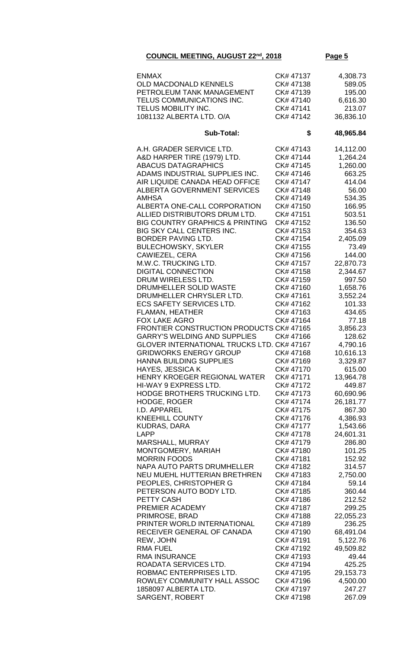| <b>ENMAX</b><br>OLD MACDONALD KENNELS<br>PETROLEUM TANK MANAGEMENT<br>TELUS COMMUNICATIONS INC.<br><b>TELUS MOBILITY INC.</b><br>1081132 ALBERTA LTD. O/A                                                                                                                                                                                                                                                                                                                                                                                                                                                                                                                                                                                                                                                                                                                                                                                                                                                                                                                                                                                                                                                                                                                                                                                                                                                                                | CK# 47137<br>CK# 47138<br>CK# 47139<br>CK# 47140<br>CK# 47141<br>CK# 47142                                                                                                                                                                                                                                                                                                                                                                                                                                                                                                                                                                   | 4,308.73<br>589.05<br>195.00<br>6,616.30<br>213.07<br>36,836.10                                                                                                                                                                                                                                                                                                                                                                                                                                                                                                      |
|------------------------------------------------------------------------------------------------------------------------------------------------------------------------------------------------------------------------------------------------------------------------------------------------------------------------------------------------------------------------------------------------------------------------------------------------------------------------------------------------------------------------------------------------------------------------------------------------------------------------------------------------------------------------------------------------------------------------------------------------------------------------------------------------------------------------------------------------------------------------------------------------------------------------------------------------------------------------------------------------------------------------------------------------------------------------------------------------------------------------------------------------------------------------------------------------------------------------------------------------------------------------------------------------------------------------------------------------------------------------------------------------------------------------------------------|----------------------------------------------------------------------------------------------------------------------------------------------------------------------------------------------------------------------------------------------------------------------------------------------------------------------------------------------------------------------------------------------------------------------------------------------------------------------------------------------------------------------------------------------------------------------------------------------------------------------------------------------|----------------------------------------------------------------------------------------------------------------------------------------------------------------------------------------------------------------------------------------------------------------------------------------------------------------------------------------------------------------------------------------------------------------------------------------------------------------------------------------------------------------------------------------------------------------------|
| <b>Sub-Total:</b>                                                                                                                                                                                                                                                                                                                                                                                                                                                                                                                                                                                                                                                                                                                                                                                                                                                                                                                                                                                                                                                                                                                                                                                                                                                                                                                                                                                                                        | \$                                                                                                                                                                                                                                                                                                                                                                                                                                                                                                                                                                                                                                           | 48,965.84                                                                                                                                                                                                                                                                                                                                                                                                                                                                                                                                                            |
| A.H. GRADER SERVICE LTD.<br>A&D HARPER TIRE (1979) LTD.<br><b>ABACUS DATAGRAPHICS</b><br>ADAMS INDUSTRIAL SUPPLIES INC.<br>AIR LIQUIDE CANADA HEAD OFFICE<br><b>ALBERTA GOVERNMENT SERVICES</b><br><b>AMHSA</b><br>ALBERTA ONE-CALL CORPORATION<br>ALLIED DISTRIBUTORS DRUM LTD.<br><b>BIG COUNTRY GRAPHICS &amp; PRINTING</b><br>BIG SKY CALL CENTERS INC.<br><b>BORDER PAVING LTD.</b><br><b>BULECHOWSKY, SKYLER</b><br>CAWIEZEL, CERA<br>M.W.C. TRUCKING LTD.<br><b>DIGITAL CONNECTION</b><br>DRUM WIRELESS LTD.<br>DRUMHELLER SOLID WASTE<br>DRUMHELLER CHRYSLER LTD.<br><b>ECS SAFETY SERVICES LTD.</b><br><b>FLAMAN, HEATHER</b><br><b>FOX LAKE AGRO</b><br><b>FRONTIER CONSTRUCTION PRODUCTS CK# 47165</b><br><b>GARRY'S WELDING AND SUPPLIES</b><br>GLOVER INTERNATIONAL TRUCKS LTD. CK# 47167<br><b>GRIDWORKS ENERGY GROUP</b><br>HANNA BUILDING SUPPLIES<br><b>HAYES, JESSICA K</b><br>HENRY KROEGER REGIONAL WATER<br>HI-WAY 9 EXPRESS LTD.<br>HODGE BROTHERS TRUCKING LTD.<br><b>HODGE, ROGER</b><br>I.D. APPAREL<br><b>KNEEHILL COUNTY</b><br><b>KUDRAS, DARA</b><br><b>LAPP</b><br>MARSHALL, MURRAY<br>MONTGOMERY, MARIAH<br><b>MORRIN FOODS</b><br><b>NAPA AUTO PARTS DRUMHELLER</b><br>NEU MUEHL HUTTERIAN BRETHREN<br>PEOPLES, CHRISTOPHER G<br>PETERSON AUTO BODY LTD.<br>PETTY CASH<br>PREMIER ACADEMY<br>PRIMROSE, BRAD<br>PRINTER WORLD INTERNATIONAL<br>RECEIVER GENERAL OF CANADA<br>REW, JOHN<br><b>RMA FUEL</b> | CK# 47143<br>CK# 47144<br>CK# 47145<br>CK# 47146<br>CK# 47147<br>CK# 47148<br>CK# 47149<br>CK# 47150<br>CK# 47151<br>CK# 47152<br>CK# 47153<br>CK# 47154<br>CK# 47155<br>CK# 47156<br>CK# 47157<br>CK# 47158<br>CK# 47159<br>CK# 47160<br>CK# 47161<br>CK# 47162<br>CK# 47163<br>CK# 47164<br>CK# 47166<br>CK# 47168<br>CK# 47169<br>CK# 47170<br>CK# 47171<br>CK# 47172<br>CK# 47173<br>CK# 47174<br>CK# 47175<br>CK# 47176<br>CK# 47177<br>CK# 47178<br>CK# 47179<br>CK# 47180<br>CK# 47181<br>CK# 47182<br>CK# 47183<br>CK# 47184<br>CK# 47185<br>CK# 47186<br>CK# 47187<br>CK# 47188<br>CK# 47189<br>CK# 47190<br>CK# 47191<br>CK# 47192 | 14,112.00<br>1,264.24<br>1,260.00<br>663.25<br>414.04<br>56.00<br>534.35<br>166.95<br>503.51<br>136.50<br>354.63<br>2,405.09<br>73.49<br>144.00<br>22,870.73<br>2,344.67<br>997.50<br>1,658.76<br>3,552.24<br>101.33<br>434.65<br>77.18<br>3,856.23<br>128.62<br>4,790.16<br>10,616.13<br>3,329.87<br>615.00<br>13,964.78<br>449.87<br>60,690.96<br>26,181.77<br>867.30<br>4,386.93<br>1,543.66<br>24,601.31<br>286.80<br>101.25<br>152.92<br>314.57<br>2,750.00<br>59.14<br>360.44<br>212.52<br>299.25<br>22,055.23<br>236.25<br>68,491.04<br>5,122.76<br>49,509.82 |
| <b>RMA INSURANCE</b><br>ROADATA SERVICES LTD.<br>ROBMAC ENTERPRISES LTD.<br>ROWLEY COMMUNITY HALL ASSOC<br>1858097 ALBERTA LTD.                                                                                                                                                                                                                                                                                                                                                                                                                                                                                                                                                                                                                                                                                                                                                                                                                                                                                                                                                                                                                                                                                                                                                                                                                                                                                                          | CK# 47193<br>CK# 47194<br>CK# 47195<br>CK# 47196<br>CK# 47197                                                                                                                                                                                                                                                                                                                                                                                                                                                                                                                                                                                | 49.44<br>425.25<br>29,153.73<br>4,500.00<br>247.27                                                                                                                                                                                                                                                                                                                                                                                                                                                                                                                   |
| SARGENT, ROBERT                                                                                                                                                                                                                                                                                                                                                                                                                                                                                                                                                                                                                                                                                                                                                                                                                                                                                                                                                                                                                                                                                                                                                                                                                                                                                                                                                                                                                          | CK# 47198                                                                                                                                                                                                                                                                                                                                                                                                                                                                                                                                                                                                                                    | 267.09                                                                                                                                                                                                                                                                                                                                                                                                                                                                                                                                                               |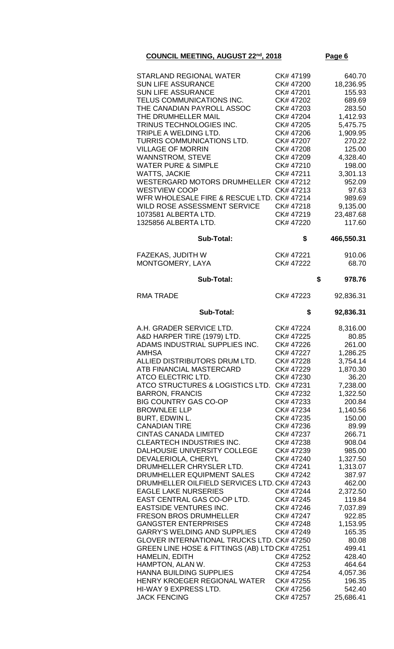|--|--|

| <b>STARLAND REGIONAL WATER</b>                                     | CK# 47199              | 640.70             |
|--------------------------------------------------------------------|------------------------|--------------------|
| <b>SUN LIFE ASSURANCE</b>                                          | CK# 47200              | 18,236.95          |
| <b>SUN LIFE ASSURANCE</b>                                          | CK# 47201              | 155.93             |
| TELUS COMMUNICATIONS INC.                                          | CK# 47202              | 689.69             |
| THE CANADIAN PAYROLL ASSOC                                         | CK# 47203              | 283.50             |
| THE DRUMHELLER MAIL                                                | CK# 47204              | 1,412.93           |
| TRINUS TECHNOLOGIES INC.                                           | CK# 47205              | 5,475.75           |
| TRIPLE A WELDING LTD.                                              | CK# 47206              | 1,909.95           |
| TURRIS COMMUNICATIONS LTD.                                         | CK# 47207              | 270.22             |
| <b>VILLAGE OF MORRIN</b>                                           | CK# 47208              | 125.00             |
| <b>WANNSTROM, STEVE</b>                                            | CK# 47209              | 4,328.40           |
| <b>WATER PURE &amp; SIMPLE</b>                                     | CK# 47210              | 198.00             |
| <b>WATTS, JACKIE</b>                                               | CK# 47211              | 3,301.13           |
| WESTERGARD MOTORS DRUMHELLER CK# 47212                             | CK#47213               | 952.09             |
| <b>WESTVIEW COOP</b><br>WFR WHOLESALE FIRE & RESCUE LTD. CK# 47214 |                        | 97.63              |
| WILD ROSE ASSESSMENT SERVICE                                       | CK# 47218              | 989.69<br>9,135.00 |
| 1073581 ALBERTA LTD.                                               | CK# 47219              | 23,487.68          |
| 1325856 ALBERTA LTD.                                               | CK# 47220              | 117.60             |
|                                                                    |                        |                    |
| <b>Sub-Total:</b>                                                  | \$                     | 466,550.31         |
| FAZEKAS, JUDITH W                                                  | CK# 47221              | 910.06             |
| MONTGOMERY, LAYA                                                   | CK# 47222              | 68.70              |
| Sub-Total:                                                         |                        | \$<br>978.76       |
| <b>RMA TRADE</b>                                                   | CK# 47223              | 92,836.31          |
| <b>Sub-Total:</b>                                                  | \$                     | 92,836.31          |
| A.H. GRADER SERVICE LTD.                                           | CK# 47224              |                    |
| A&D HARPER TIRE (1979) LTD.                                        | CK# 47225              | 8,316.00<br>80.85  |
| ADAMS INDUSTRIAL SUPPLIES INC.                                     | CK# 47226              | 261.00             |
| <b>AMHSA</b>                                                       | CK# 47227              | 1,286.25           |
| ALLIED DISTRIBUTORS DRUM LTD.                                      | CK# 47228              | 3,754.14           |
| ATB FINANCIAL MASTERCARD                                           | CK# 47229              | 1,870.30           |
| ATCO ELECTRIC LTD.                                                 | CK# 47230              | 36.20              |
| ATCO STRUCTURES & LOGISTICS LTD.                                   | CK# 47231              | 7,238.00           |
| <b>BARRON, FRANCIS</b>                                             | CK# 47232              | 1,322.50           |
| <b>BIG COUNTRY GAS CO-OP</b>                                       | CK# 47233              | 200.84             |
| <b>BROWNLEE LLP</b>                                                | CK# 47234              | 1,140.56           |
| BURT, EDWIN L.                                                     | CK# 47235              | 150.00             |
| <b>CANADIAN TIRE</b>                                               | CK# 47236              | 89.99              |
| <b>CINTAS CANADA LIMITED</b>                                       | CK# 47237              | 266.71             |
| <b>CLEARTECH INDUSTRIES INC.</b>                                   | CK# 47238              | 908.04             |
| DALHOUSIE UNIVERSITY COLLEGE                                       | CK# 47239              | 985.00             |
| DEVALERIOLA, CHERYL<br>DRUMHELLER CHRYSLER LTD.                    | CK# 47240<br>CK# 47241 | 1,327.50           |
| DRUMHELLER EQUIPMENT SALES                                         | CK# 47242              | 1,313.07<br>387.97 |
| DRUMHELLER OILFIELD SERVICES LTD. CK# 47243                        |                        | 462.00             |
| <b>EAGLE LAKE NURSERIES</b>                                        | CK# 47244              | 2,372.50           |
| EAST CENTRAL GAS CO-OP LTD.                                        | CK# 47245              | 119.84             |
| <b>EASTSIDE VENTURES INC.</b>                                      | CK# 47246              | 7,037.89           |
| <b>FRESON BROS DRUMHELLER</b>                                      | CK# 47247              | 922.85             |
| <b>GANGSTER ENTERPRISES</b>                                        | CK# 47248              | 1,153.95           |
| <b>GARRY'S WELDING AND SUPPLIES</b>                                | CK# 47249              | 165.35             |
| GLOVER INTERNATIONAL TRUCKS LTD. CK# 47250                         |                        | 80.08              |
| GREEN LINE HOSE & FITTINGS (AB) LTD CK# 47251                      |                        | 499.41             |
| HAMELIN, EDITH                                                     | CK# 47252              | 428.40             |
| HAMPTON, ALAN W.                                                   | CK# 47253              | 464.64             |
| HANNA BUILDING SUPPLIES                                            | CK# 47254              | 4,057.36           |
| HENRY KROEGER REGIONAL WATER                                       | CK# 47255              | 196.35             |
| HI-WAY 9 EXPRESS LTD.                                              | CK# 47256              | 542.40             |
| <b>JACK FENCING</b>                                                | CK# 47257              | 25,686.41          |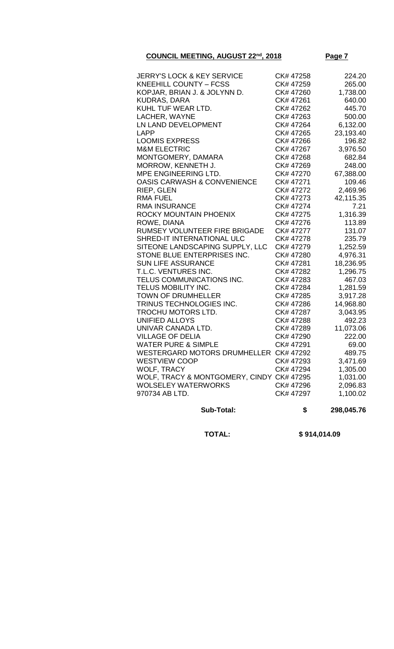| JERRY'S LOCK & KEY SERVICE                    | CK# 47258 | 224.20    |
|-----------------------------------------------|-----------|-----------|
| <b>KNEEHILL COUNTY - FCSS</b>                 | CK# 47259 | 265.00    |
| KOPJAR, BRIAN J. & JOLYNN D.                  | CK# 47260 | 1,738.00  |
| <b>KUDRAS, DARA</b>                           | CK# 47261 | 640.00    |
| KUHL TUF WEAR LTD.                            | CK# 47262 | 445.70    |
| LACHER, WAYNE                                 | CK# 47263 | 500.00    |
| LN LAND DEVELOPMENT                           | CK# 47264 | 6,132.00  |
| <b>LAPP</b>                                   | CK# 47265 | 23,193.40 |
| <b>LOOMIS EXPRESS</b>                         | CK# 47266 | 196.82    |
| <b>M&amp;M ELECTRIC</b>                       | CK# 47267 | 3,976.50  |
| MONTGOMERY, DAMARA                            | CK# 47268 | 682.84    |
| MORROW, KENNETH J.                            | CK# 47269 | 248.00    |
| MPE ENGINEERING LTD.                          | CK# 47270 | 67,388.00 |
| <b>OASIS CARWASH &amp; CONVENIENCE</b>        | CK# 47271 | 109.46    |
| RIEP, GLEN                                    | CK# 47272 | 2,469.96  |
| <b>RMA FUEL</b>                               | CK# 47273 | 42,115.35 |
| <b>RMA INSURANCE</b>                          | CK# 47274 | 7.21      |
| ROCKY MOUNTAIN PHOENIX                        | CK# 47275 | 1,316.39  |
| ROWE, DIANA                                   | CK# 47276 | 113.89    |
| RUMSEY VOLUNTEER FIRE BRIGADE                 | CK# 47277 | 131.07    |
| SHRED-IT INTERNATIONAL ULC                    | CK# 47278 | 235.79    |
| SITEONE LANDSCAPING SUPPLY, LLC               | CK# 47279 | 1,252.59  |
| STONE BLUE ENTERPRISES INC.                   | CK# 47280 | 4,976.31  |
| <b>SUN LIFE ASSURANCE</b>                     | CK# 47281 | 18,236.95 |
| T.L.C. VENTURES INC.                          | CK# 47282 | 1,296.75  |
| TELUS COMMUNICATIONS INC.                     | CK# 47283 | 467.03    |
| TELUS MOBILITY INC.                           | CK# 47284 | 1,281.59  |
| <b>TOWN OF DRUMHELLER</b>                     | CK# 47285 | 3,917.28  |
| TRINUS TECHNOLOGIES INC.                      | CK# 47286 | 14,968.80 |
| TROCHU MOTORS LTD.                            | CK# 47287 | 3,043.95  |
| <b>UNIFIED ALLOYS</b>                         | CK# 47288 | 492.23    |
| UNIVAR CANADA LTD.                            | CK# 47289 | 11,073.06 |
| <b>VILLAGE OF DELIA</b>                       | CK# 47290 | 222.00    |
| <b>WATER PURE &amp; SIMPLE</b>                | CK# 47291 | 69.00     |
| <b>WESTERGARD MOTORS DRUMHELLER CK# 47292</b> |           | 489.75    |
| <b>WESTVIEW COOP</b>                          | CK# 47293 | 3,471.69  |
| <b>WOLF, TRACY</b>                            | CK# 47294 | 1,305.00  |
| WOLF, TRACY & MONTGOMERY, CINDY CK# 47295     |           | 1,031.00  |
| <b>WOLSELEY WATERWORKS</b>                    | CK# 47296 | 2,096.83  |
| 970734 AB LTD.                                | CK# 47297 | 1,100.02  |
|                                               |           |           |

**Sub-Total: \$ 298,045.76**

 **TOTAL: \$ 914,014.09**